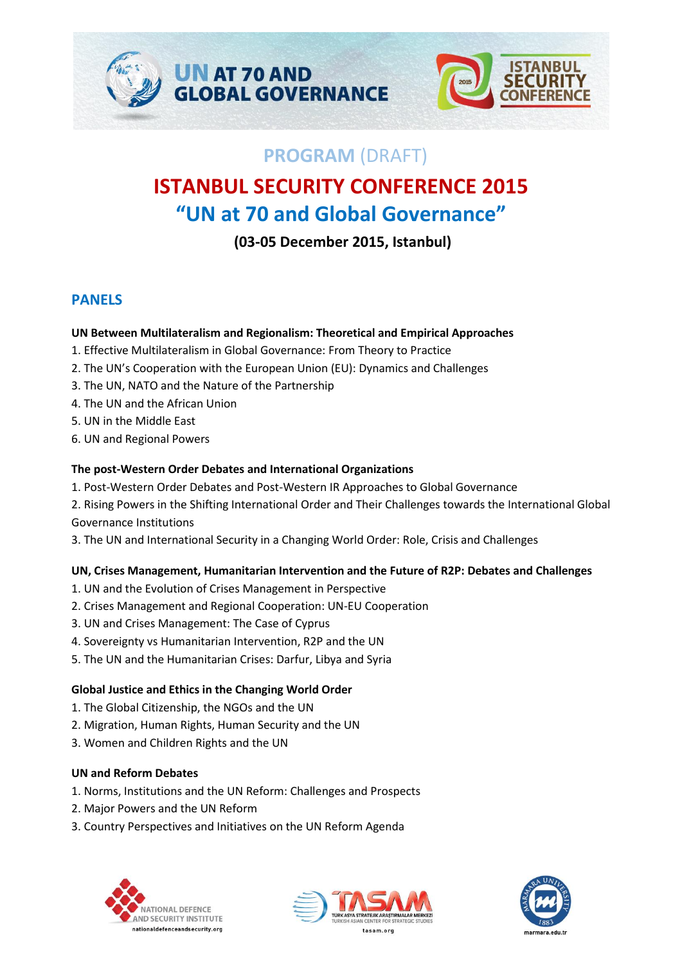



# **PROGRAM** (DRAFT)

# **ISTANBUL SECURITY CONFERENCE 2015 "UN at 70 and Global Governance"**

**(03-05 December 2015, Istanbul)**

# **PANELS**

#### **UN Between Multilateralism and Regionalism: Theoretical and Empirical Approaches**

- 1. Effective Multilateralism in Global Governance: From Theory to Practice
- 2. The UN's Cooperation with the European Union (EU): Dynamics and Challenges
- 3. The UN, NATO and the Nature of the Partnership
- 4. The UN and the African Union
- 5. UN in the Middle East
- 6. UN and Regional Powers

### **The post-Western Order Debates and International Organizations**

- 1. Post-Western Order Debates and Post-Western IR Approaches to Global Governance
- 2. Rising Powers in the Shifting International Order and Their Challenges towards the International Global Governance Institutions
- 3. The UN and International Security in a Changing World Order: Role, Crisis and Challenges

# **UN, Crises Management, Humanitarian Intervention and the Future of R2P: Debates and Challenges**

- 1. UN and the Evolution of Crises Management in Perspective
- 2. Crises Management and Regional Cooperation: UN-EU Cooperation
- 3. UN and Crises Management: The Case of Cyprus
- 4. Sovereignty vs Humanitarian Intervention, R2P and the UN
- 5. The UN and the Humanitarian Crises: Darfur, Libya and Syria

# **Global Justice and Ethics in the Changing World Order**

- 1. The Global Citizenship, the NGOs and the UN
- 2. Migration, Human Rights, Human Security and the UN
- 3. Women and Children Rights and the UN

#### **UN and Reform Debates**

- 1. Norms, Institutions and the UN Reform: Challenges and Prospects
- 2. Major Powers and the UN Reform
- 3. Country Perspectives and Initiatives on the UN Reform Agenda